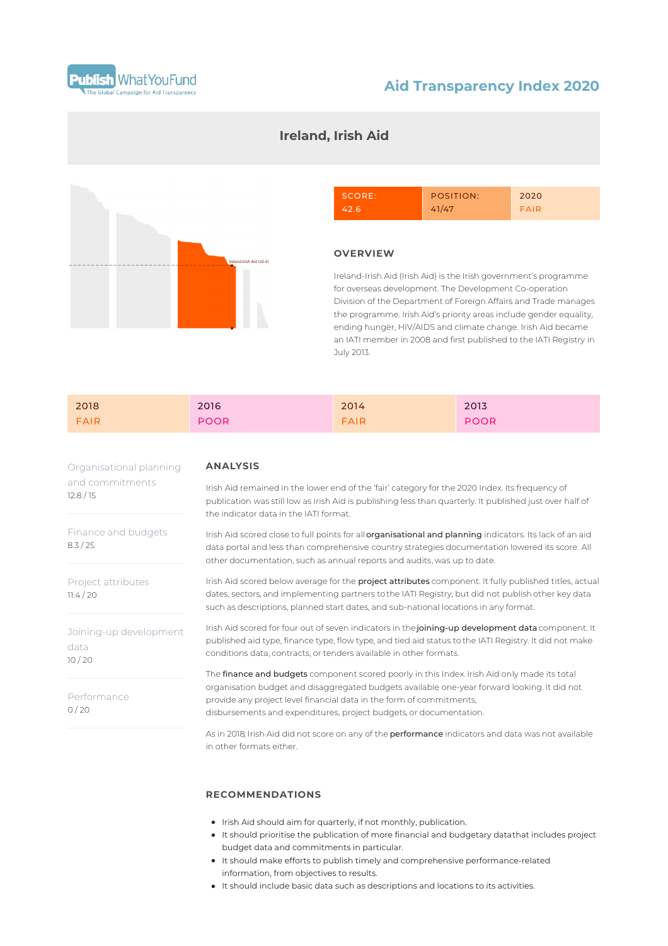

## **Aid Transparency Index 2020**

# l<br>Ia CN hid (42 Al

## **Ireland, Irish Aid**



### **OVERVIEW**

Ireland-Irish Aid (Irish Aid) is the Irish government's programme for overseas development. The Development Co-operation Division of the Department of Foreign Affairs and Trade manages the programme. Irish Aid's priority areas include gender equality, ending hunger, HIV/AIDS and climate change. Irish Aid became an IATI member in 2008 and first published to the IATI Registry in July 2013.

| 2018 | 2016        | 2014        | 2013        |
|------|-------------|-------------|-------------|
| FAIR | <b>POOR</b> | <b>FAIR</b> | <b>POOR</b> |

Organisational planning and commitments 12.8 / 15

Finance and budgets 8.3 / 25

Project attributes  $11.4 / 20$ 

Joining-up development data 10 / 20

Performance  $0/20$ 

#### **ANALYSIS**

Irish Aid remained in the lower end of the 'fair' category for the 2020 Index. Its frequency of publication was still low as Irish Aid is publishing less than quarterly. It published just over half of the indicator data in the IATI format.

Irish Aid scored close to full points for all organisational and planning indicators. Its lack of an aid data portal and less than comprehensive country strategies documentation lowered its score. All other documentation, such as annual reports and audits, was up to date.

Irish Aid scored below average for the project attributes component. It fully published titles, actual dates, sectors, and implementing partners tothe IATI Registry, but did not publish other key data such as descriptions, planned start dates, and sub-national locations in any format.

Irish Aid scored for four out of seven indicators in the joining-up development data component. It published aid type, finance type, flow type, and tied aid status to the IATI Registry. It did not make conditions data, contracts, or tenders available in other formats.

The finance and budgets component scored poorly in this Index. Irish Aid only made its total organisation budget and disaggregated budgets available one-year forward looking. It did not provide any project level financial data in the form of commitments, disbursements and expenditures, project budgets, or documentation.

As in 2018, Irish Aid did not score on any of the **performance** indicators and data was not available in other formats either.

## **RECOMMENDATIONS**

- Irish Aid should aim for quarterly, if not monthly, publication.
- It should prioritise the publication of more financial and budgetary datathat includes project budget data and commitments in particular.
- It should make efforts to publish timely and comprehensive performance-related information, from objectives to results.
- It should include basic data such as descriptions and locations to its activities.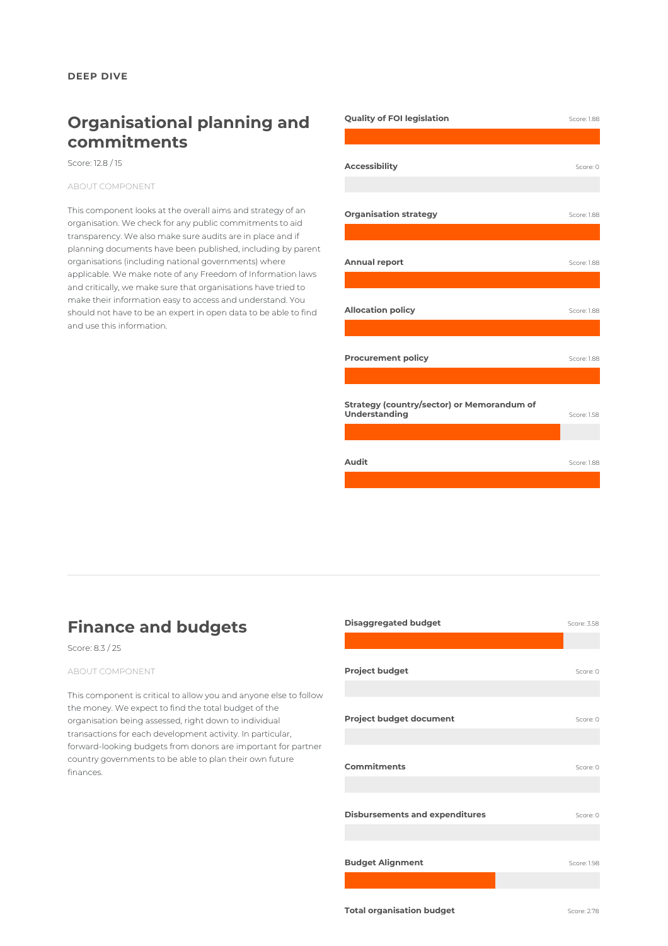# **Organisational planning and commitments**

Score: 12.8 / 15

ABOUT COMPONENT

This component looks at the overall aims and strategy of an organisation. We check for any public commitments to aid transparency. We also make sure audits are in place and if planning documents have been published, including by parent organisations (including national governments) where applicable. We make note of any Freedom of Information laws and critically, we make sure that organisations have tried to make their information easy to access and understand. You should not have to be an expert in open data to be able to find and use this information.

| <b>Quality of FOI legislation</b>                           | Score: 1.88 |
|-------------------------------------------------------------|-------------|
|                                                             |             |
|                                                             |             |
| <b>Accessibility</b>                                        | Score: 0    |
|                                                             |             |
| <b>Organisation strategy</b>                                | Score: 1.88 |
|                                                             |             |
|                                                             |             |
| <b>Annual report</b>                                        | Score: 1.88 |
|                                                             |             |
| <b>Allocation policy</b>                                    | Score: 1.88 |
|                                                             |             |
| <b>Procurement policy</b>                                   |             |
|                                                             | Score: 1.88 |
|                                                             |             |
| Strategy (country/sector) or Memorandum of<br>Understanding | Score: 1.58 |
|                                                             |             |
|                                                             |             |
| Audit                                                       | Score: 1.88 |
|                                                             |             |

# **Finance and budgets**

## Score: 8.3 / 25

#### ABOUT COMPONENT

This component is critical to allow you and anyone else to follow the money. We expect to find the total budget of the organisation being assessed, right down to individual transactions for each development activity. In particular, forward-looking budgets from donors are important for partner country governments to be able to plan their own future finances.

| <b>Disaggregated budget</b>           | Score: 3.58 |
|---------------------------------------|-------------|
|                                       |             |
| <b>Project budget</b>                 | Score: 0    |
| <b>Project budget document</b>        | Score: 0    |
| <b>Commitments</b>                    | Score: 0    |
| <b>Disbursements and expenditures</b> | Score: 0    |
| <b>Budget Alignment</b>               | Score: 1.98 |
| <b>Total organisation budget</b>      | Score: 2.78 |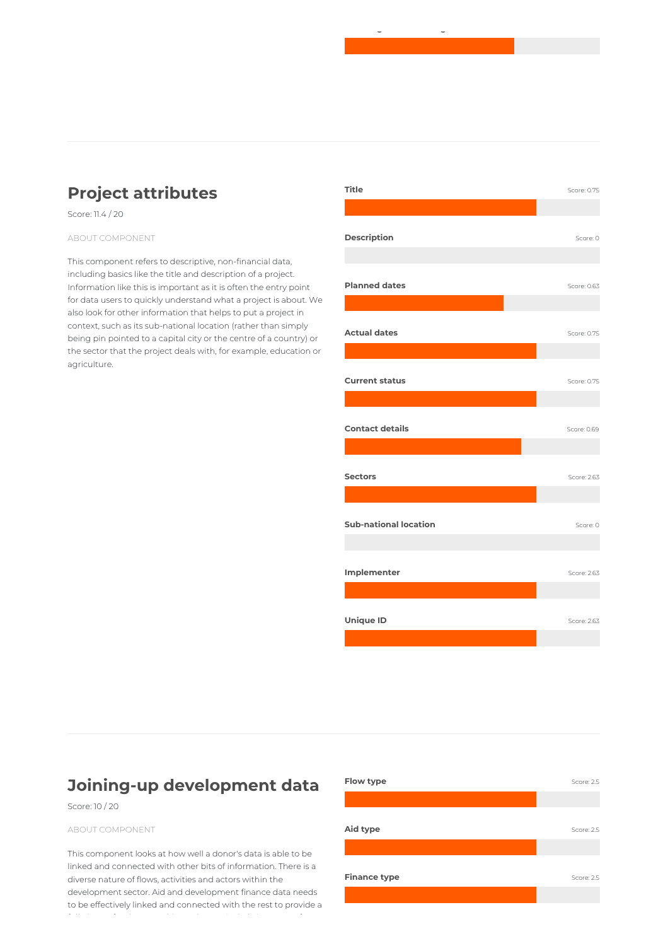# **Project attributes**

Score: 11.4 / 20

#### ABOUT COMPONENT

This component refers to descriptive, non-financial data, including basics like the title and description of a project. Information like this is important as it is often the entry point for data users to quickly understand what a project is about. We also look for other information that helps to put a project in context, such as its sub-national location (rather than simply being pin pointed to a capital city or the centre of a country) or the sector that the project deals with, for example, education or agriculture.



**Total organisation budget** Score: 2.78

# **Joining-up development data**

Score: 10 / 20

#### ABOUT COMPONENT

This component looks at how well a donor's data is able to be linked and connected with other bits of information. There is a diverse nature of flows, activities and actors within the development sector. Aid and development finance data needs to be effectively linked and connected with the rest to provide a